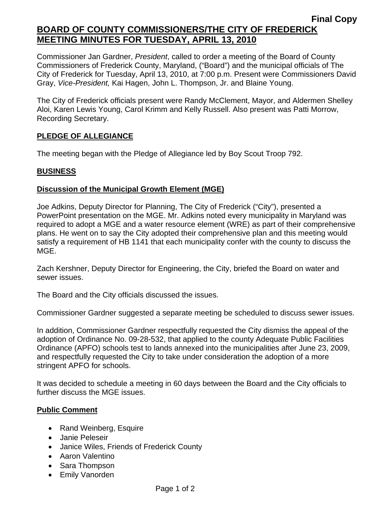## **BOARD OF COUNTY COMMISSIONERS/THE CITY OF FREDERICK MEETING MINUTES FOR TUESDAY, APRIL 13, 2010**

Commissioner Jan Gardner, *President*, called to order a meeting of the Board of County Commissioners of Frederick County, Maryland, ("Board") and the municipal officials of The City of Frederick for Tuesday, April 13, 2010, at 7:00 p.m. Present were Commissioners David Gray, *Vice-President,* Kai Hagen, John L. Thompson, Jr. and Blaine Young.

The City of Frederick officials present were Randy McClement, Mayor, and Aldermen Shelley Aloi, Karen Lewis Young, Carol Krimm and Kelly Russell. Also present was Patti Morrow, Recording Secretary.

#### **PLEDGE OF ALLEGIANCE**

The meeting began with the Pledge of Allegiance led by Boy Scout Troop 792.

## **BUSINESS**

#### **Discussion of the Municipal Growth Element (MGE)**

Joe Adkins, Deputy Director for Planning, The City of Frederick ("City"), presented a PowerPoint presentation on the MGE. Mr. Adkins noted every municipality in Maryland was required to adopt a MGE and a water resource element (WRE) as part of their comprehensive plans. He went on to say the City adopted their comprehensive plan and this meeting would satisfy a requirement of HB 1141 that each municipality confer with the county to discuss the MGE.

Zach Kershner, Deputy Director for Engineering, the City, briefed the Board on water and sewer issues.

The Board and the City officials discussed the issues.

Commissioner Gardner suggested a separate meeting be scheduled to discuss sewer issues.

In addition, Commissioner Gardner respectfully requested the City dismiss the appeal of the adoption of Ordinance No. 09-28-532, that applied to the county Adequate Public Facilities Ordinance (APFO) schools test to lands annexed into the municipalities after June 23, 2009, and respectfully requested the City to take under consideration the adoption of a more stringent APFO for schools.

It was decided to schedule a meeting in 60 days between the Board and the City officials to further discuss the MGE issues.

## **Public Comment**

- Rand Weinberg, Esquire
- Janie Peleseir
- Janice Wiles, Friends of Frederick County
- Aaron Valentino
- Sara Thompson
- Emily Vanorden